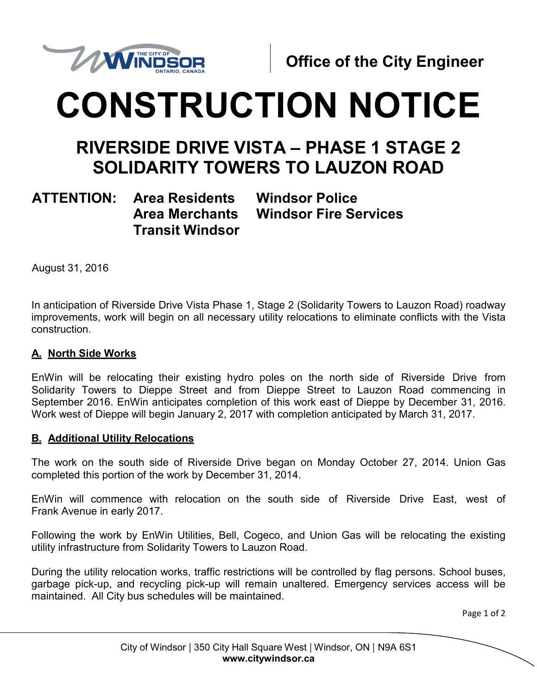

# **CONSTRUCTION NOTICE**

## **RIVERSIDE DRIVE VISTA – PHASE 1 STAGE 2 SOLIDARITY TOWERS TO LAUZON ROAD**

### **ATTENTION: Area Residents Area Merchants Transit Windsor**

**Windsor Police Windsor Fire Services**

August 31, 2016

In anticipation of Riverside Drive Vista Phase 1, Stage 2 (Solidarity Towers to Lauzon Road) roadway improvements, work will begin on all necessary utility relocations to eliminate conflicts with the Vista construction.

#### **A. North Side Works**

EnWin will be relocating their existing hydro poles on the north side of Riverside Drive from Solidarity Towers to Dieppe Street and from Dieppe Street to Lauzon Road commencing in September 2016. EnWin anticipates completion of this work east of Dieppe by December 31, 2016. Work west of Dieppe will begin January 2, 2017 with completion anticipated by March 31, 2017.

#### **B. Additional Utility Relocations**

The work on the south side of Riverside Drive began on Monday October 27, 2014. Union Gas completed this portion of the work by December 31, 2014.

EnWin will commence with relocation on the south side of Riverside Drive East, west of Frank Avenue in early 2017.

Following the work by EnWin Utilities, Bell, Cogeco, and Union Gas will be relocating the existing utility infrastructure from Solidarity Towers to Lauzon Road.

During the utility relocation works, traffic restrictions will be controlled by flag persons. School buses, garbage pick-up, and recycling pick-up will remain unaltered. Emergency services access will be maintained. All City bus schedules will be maintained.

Page 1 of 2